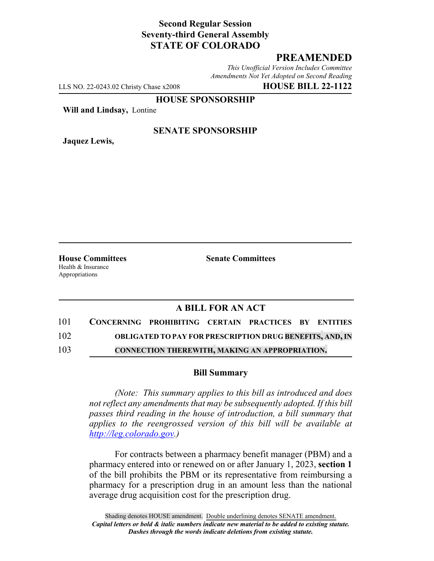## **Second Regular Session Seventy-third General Assembly STATE OF COLORADO**

# **PREAMENDED**

*This Unofficial Version Includes Committee Amendments Not Yet Adopted on Second Reading*

LLS NO. 22-0243.02 Christy Chase x2008 **HOUSE BILL 22-1122**

**HOUSE SPONSORSHIP**

**Will and Lindsay,** Lontine

**Jaquez Lewis,**

### **SENATE SPONSORSHIP**

Health & Insurance Appropriations

**House Committees Senate Committees**

## **A BILL FOR AN ACT**

| 101           | CONCERNING PROHIBITING CERTAIN PRACTICES BY ENTITIES |                                                                 |  |  |
|---------------|------------------------------------------------------|-----------------------------------------------------------------|--|--|
| 102           |                                                      | <b>OBLIGATED TO PAY FOR PRESCRIPTION DRUG BENEFITS, AND, IN</b> |  |  |
| $\sim$ $\sim$ |                                                      |                                                                 |  |  |

103 **CONNECTION THEREWITH, MAKING AN APPROPRIATION.**

#### **Bill Summary**

*(Note: This summary applies to this bill as introduced and does not reflect any amendments that may be subsequently adopted. If this bill passes third reading in the house of introduction, a bill summary that applies to the reengrossed version of this bill will be available at http://leg.colorado.gov.)*

For contracts between a pharmacy benefit manager (PBM) and a pharmacy entered into or renewed on or after January 1, 2023, **section 1** of the bill prohibits the PBM or its representative from reimbursing a pharmacy for a prescription drug in an amount less than the national average drug acquisition cost for the prescription drug.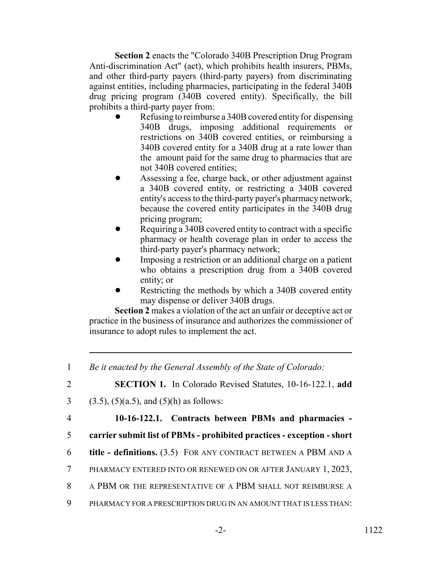**Section 2** enacts the "Colorado 340B Prescription Drug Program Anti-discrimination Act" (act), which prohibits health insurers, PBMs, and other third-party payers (third-party payers) from discriminating against entities, including pharmacies, participating in the federal 340B drug pricing program (340B covered entity). Specifically, the bill prohibits a third-party payer from:

- Refusing to reimburse a 340B covered entity for dispensing 340B drugs, imposing additional requirements or restrictions on 340B covered entities, or reimbursing a 340B covered entity for a 340B drug at a rate lower than the amount paid for the same drug to pharmacies that are not 340B covered entities;
- ! Assessing a fee, charge back, or other adjustment against a 340B covered entity, or restricting a 340B covered entity's access to the third-party payer's pharmacy network, because the covered entity participates in the 340B drug pricing program;
- Requiring a 340B covered entity to contract with a specific pharmacy or health coverage plan in order to access the third-party payer's pharmacy network;
- Imposing a restriction or an additional charge on a patient who obtains a prescription drug from a 340B covered entity; or
- Restricting the methods by which a 340B covered entity may dispense or deliver 340B drugs.

**Section 2** makes a violation of the act an unfair or deceptive act or practice in the business of insurance and authorizes the commissioner of insurance to adopt rules to implement the act.

 *Be it enacted by the General Assembly of the State of Colorado:* **SECTION 1.** In Colorado Revised Statutes, 10-16-122.1, **add** 3 (3.5), (5)(a.5), and (5)(h) as follows: **10-16-122.1. Contracts between PBMs and pharmacies - carrier submit list of PBMs - prohibited practices - exception - short title - definitions.** (3.5) FOR ANY CONTRACT BETWEEN A PBM AND A PHARMACY ENTERED INTO OR RENEWED ON OR AFTER JANUARY 1, 2023, A PBM OR THE REPRESENTATIVE OF A PBM SHALL NOT REIMBURSE A PHARMACY FOR A PRESCRIPTION DRUG IN AN AMOUNT THAT IS LESS THAN: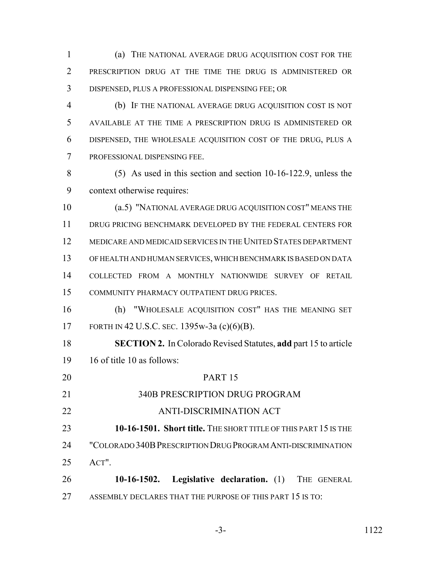(a) THE NATIONAL AVERAGE DRUG ACQUISITION COST FOR THE PRESCRIPTION DRUG AT THE TIME THE DRUG IS ADMINISTERED OR DISPENSED, PLUS A PROFESSIONAL DISPENSING FEE; OR

 (b) IF THE NATIONAL AVERAGE DRUG ACQUISITION COST IS NOT AVAILABLE AT THE TIME A PRESCRIPTION DRUG IS ADMINISTERED OR DISPENSED, THE WHOLESALE ACQUISITION COST OF THE DRUG, PLUS A PROFESSIONAL DISPENSING FEE.

 (5) As used in this section and section 10-16-122.9, unless the context otherwise requires:

 (a.5) "NATIONAL AVERAGE DRUG ACQUISITION COST" MEANS THE 11 DRUG PRICING BENCHMARK DEVELOPED BY THE FEDERAL CENTERS FOR MEDICARE AND MEDICAID SERVICES IN THE UNITED STATES DEPARTMENT OF HEALTH AND HUMAN SERVICES, WHICH BENCHMARK IS BASED ON DATA COLLECTED FROM A MONTHLY NATIONWIDE SURVEY OF RETAIL COMMUNITY PHARMACY OUTPATIENT DRUG PRICES.

 (h) "WHOLESALE ACQUISITION COST" HAS THE MEANING SET FORTH IN 42 U.S.C. SEC. 1395w-3a (c)(6)(B).

 **SECTION 2.** In Colorado Revised Statutes, **add** part 15 to article 16 of title 10 as follows:

 PART 15 340B PRESCRIPTION DRUG PROGRAM ANTI-DISCRIMINATION ACT **10-16-1501. Short title.** The short Title of this part 15 is the "COLORADO 340BPRESCRIPTION DRUG PROGRAM ANTI-DISCRIMINATION ACT". **10-16-1502. Legislative declaration.** (1) THE GENERAL 27 ASSEMBLY DECLARES THAT THE PURPOSE OF THIS PART 15 IS TO: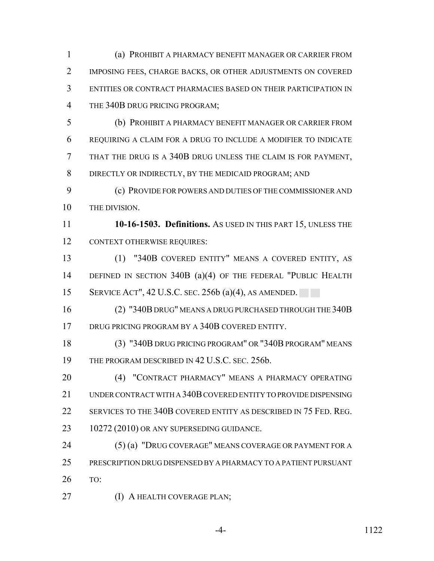(a) PROHIBIT A PHARMACY BENEFIT MANAGER OR CARRIER FROM IMPOSING FEES, CHARGE BACKS, OR OTHER ADJUSTMENTS ON COVERED ENTITIES OR CONTRACT PHARMACIES BASED ON THEIR PARTICIPATION IN THE 340B DRUG PRICING PROGRAM;

 (b) PROHIBIT A PHARMACY BENEFIT MANAGER OR CARRIER FROM REQUIRING A CLAIM FOR A DRUG TO INCLUDE A MODIFIER TO INDICATE THAT THE DRUG IS A 340B DRUG UNLESS THE CLAIM IS FOR PAYMENT, 8 DIRECTLY OR INDIRECTLY, BY THE MEDICAID PROGRAM; AND

 (c) PROVIDE FOR POWERS AND DUTIES OF THE COMMISSIONER AND THE DIVISION.

 **10-16-1503. Definitions.** AS USED IN THIS PART 15, UNLESS THE 12 CONTEXT OTHERWISE REQUIRES:

 (1) "340B COVERED ENTITY" MEANS A COVERED ENTITY, AS DEFINED IN SECTION 340B (a)(4) OF THE FEDERAL "PUBLIC HEALTH SERVICE ACT", 42 U.S.C. SEC. 256b (a)(4), AS AMENDED.

 (2) "340B DRUG" MEANS A DRUG PURCHASED THROUGH THE 340B DRUG PRICING PROGRAM BY A 340B COVERED ENTITY.

 (3) "340B DRUG PRICING PROGRAM" OR "340B PROGRAM" MEANS 19 THE PROGRAM DESCRIBED IN 42 U.S.C. SEC. 256b.

 (4) "CONTRACT PHARMACY" MEANS A PHARMACY OPERATING UNDER CONTRACT WITH A 340B COVERED ENTITY TO PROVIDE DISPENSING 22 SERVICES TO THE 340B COVERED ENTITY AS DESCRIBED IN 75 FED. REG. 23 10272 (2010) OR ANY SUPERSEDING GUIDANCE.

 (5) (a) "DRUG COVERAGE" MEANS COVERAGE OR PAYMENT FOR A PRESCRIPTION DRUG DISPENSED BY A PHARMACY TO A PATIENT PURSUANT TO:

**(I) A HEALTH COVERAGE PLAN;** 

-4- 1122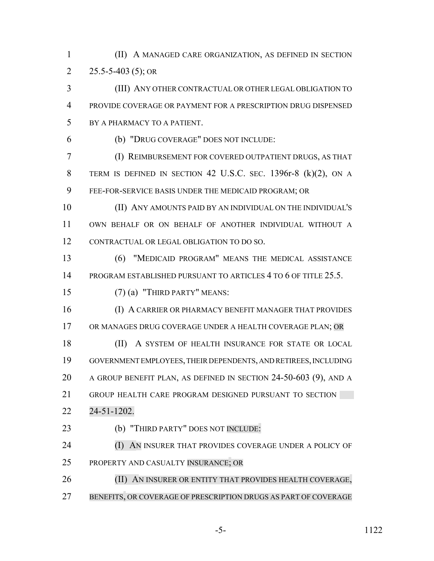(II) A MANAGED CARE ORGANIZATION, AS DEFINED IN SECTION 2  $25.5 - 5 - 403$  (5); OR

 (III) ANY OTHER CONTRACTUAL OR OTHER LEGAL OBLIGATION TO PROVIDE COVERAGE OR PAYMENT FOR A PRESCRIPTION DRUG DISPENSED BY A PHARMACY TO A PATIENT.

(b) "DRUG COVERAGE" DOES NOT INCLUDE:

 (I) REIMBURSEMENT FOR COVERED OUTPATIENT DRUGS, AS THAT TERM IS DEFINED IN SECTION 42 U.S.C. SEC. 1396r-8 (k)(2), ON A FEE-FOR-SERVICE BASIS UNDER THE MEDICAID PROGRAM; OR

 (II) ANY AMOUNTS PAID BY AN INDIVIDUAL ON THE INDIVIDUAL'S OWN BEHALF OR ON BEHALF OF ANOTHER INDIVIDUAL WITHOUT A CONTRACTUAL OR LEGAL OBLIGATION TO DO SO.

 (6) "MEDICAID PROGRAM" MEANS THE MEDICAL ASSISTANCE PROGRAM ESTABLISHED PURSUANT TO ARTICLES 4 TO 6 OF TITLE 25.5.

(7) (a) "THIRD PARTY" MEANS:

 (I) A CARRIER OR PHARMACY BENEFIT MANAGER THAT PROVIDES 17 OR MANAGES DRUG COVERAGE UNDER A HEALTH COVERAGE PLAN; OR

18 (II) A SYSTEM OF HEALTH INSURANCE FOR STATE OR LOCAL GOVERNMENT EMPLOYEES, THEIR DEPENDENTS, AND RETIREES, INCLUDING A GROUP BENEFIT PLAN, AS DEFINED IN SECTION 24-50-603 (9), AND A GROUP HEALTH CARE PROGRAM DESIGNED PURSUANT TO SECTION

24-51-1202.

**(b) "THIRD PARTY" DOES NOT INCLUDE:** 

**(I) AN INSURER THAT PROVIDES COVERAGE UNDER A POLICY OF** PROPERTY AND CASUALTY INSURANCE; OR

**(II) AN INSURER OR ENTITY THAT PROVIDES HEALTH COVERAGE,** BENEFITS, OR COVERAGE OF PRESCRIPTION DRUGS AS PART OF COVERAGE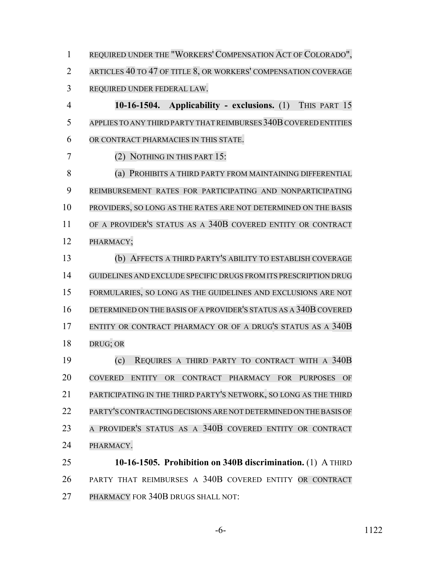REQUIRED UNDER THE "WORKERS' COMPENSATION ACT OF COLORADO", ARTICLES 40 TO 47 OF TITLE 8, OR WORKERS' COMPENSATION COVERAGE REQUIRED UNDER FEDERAL LAW.

 **10-16-1504. Applicability - exclusions.** (1) THIS PART 15 5 APPLIES TO ANY THIRD PARTY THAT REIMBURSES 340B COVERED ENTITIES OR CONTRACT PHARMACIES IN THIS STATE.

(2) NOTHING IN THIS PART 15:

**(a) PROHIBITS A THIRD PARTY FROM MAINTAINING DIFFERENTIAL**  REIMBURSEMENT RATES FOR PARTICIPATING AND NONPARTICIPATING PROVIDERS, SO LONG AS THE RATES ARE NOT DETERMINED ON THE BASIS OF A PROVIDER'S STATUS AS A 340B COVERED ENTITY OR CONTRACT PHARMACY;

 (b) AFFECTS A THIRD PARTY'S ABILITY TO ESTABLISH COVERAGE GUIDELINES AND EXCLUDE SPECIFIC DRUGS FROM ITS PRESCRIPTION DRUG FORMULARIES, SO LONG AS THE GUIDELINES AND EXCLUSIONS ARE NOT 16 DETERMINED ON THE BASIS OF A PROVIDER'S STATUS AS A 340B COVERED ENTITY OR CONTRACT PHARMACY OR OF A DRUG'S STATUS AS A 340B DRUG; OR

 (c) REQUIRES A THIRD PARTY TO CONTRACT WITH A 340B COVERED ENTITY OR CONTRACT PHARMACY FOR PURPOSES OF PARTICIPATING IN THE THIRD PARTY'S NETWORK, SO LONG AS THE THIRD PARTY'SCONTRACTING DECISIONS ARE NOT DETERMINED ON THE BASIS OF A PROVIDER'S STATUS AS A 340B COVERED ENTITY OR CONTRACT PHARMACY.

 **10-16-1505. Prohibition on 340B discrimination.** (1) A THIRD PARTY THAT REIMBURSES A 340B COVERED ENTITY OR CONTRACT PHARMACY FOR 340B DRUGS SHALL NOT: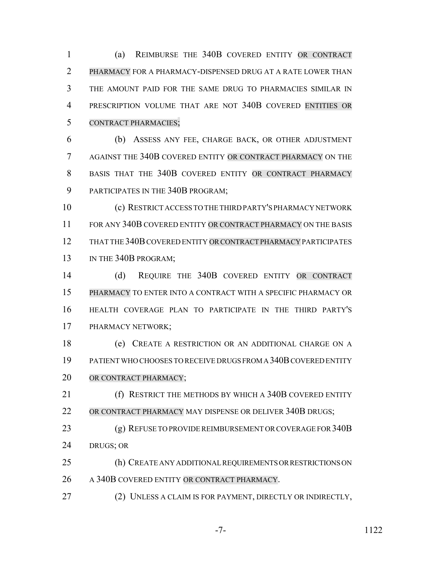(a) REIMBURSE THE 340B COVERED ENTITY OR CONTRACT PHARMACY FOR A PHARMACY-DISPENSED DRUG AT A RATE LOWER THAN THE AMOUNT PAID FOR THE SAME DRUG TO PHARMACIES SIMILAR IN PRESCRIPTION VOLUME THAT ARE NOT 340B COVERED ENTITIES OR CONTRACT PHARMACIES;

 (b) ASSESS ANY FEE, CHARGE BACK, OR OTHER ADJUSTMENT AGAINST THE 340B COVERED ENTITY OR CONTRACT PHARMACY ON THE 8 BASIS THAT THE 340B COVERED ENTITY OR CONTRACT PHARMACY PARTICIPATES IN THE 340B PROGRAM;

 (c) RESTRICT ACCESS TO THE THIRD PARTY'S PHARMACY NETWORK 11 FOR ANY 340B COVERED ENTITY OR CONTRACT PHARMACY ON THE BASIS THAT THE 340B COVERED ENTITY OR CONTRACT PHARMACY PARTICIPATES 13 IN THE 340B PROGRAM:

 (d) REQUIRE THE 340B COVERED ENTITY OR CONTRACT PHARMACY TO ENTER INTO A CONTRACT WITH A SPECIFIC PHARMACY OR HEALTH COVERAGE PLAN TO PARTICIPATE IN THE THIRD PARTY'S PHARMACY NETWORK;

 (e) CREATE A RESTRICTION OR AN ADDITIONAL CHARGE ON A PATIENT WHO CHOOSES TO RECEIVE DRUGS FROM A 340B COVERED ENTITY 20 OR CONTRACT PHARMACY;

**(f) RESTRICT THE METHODS BY WHICH A 340B COVERED ENTITY** OR CONTRACT PHARMACY MAY DISPENSE OR DELIVER 340B DRUGS;

23 (g) REFUSE TO PROVIDE REIMBURSEMENT OR COVERAGE FOR 340B DRUGS; OR

 (h) CREATE ANY ADDITIONAL REQUIREMENTS OR RESTRICTIONS ON 26 A 340B COVERED ENTITY OR CONTRACT PHARMACY.

(2) UNLESS A CLAIM IS FOR PAYMENT, DIRECTLY OR INDIRECTLY,

-7- 1122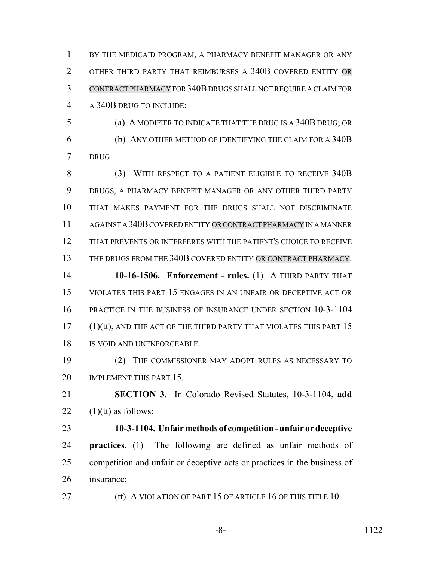1 BY THE MEDICAID PROGRAM, A PHARMACY BENEFIT MANAGER OR ANY 2 OTHER THIRD PARTY THAT REIMBURSES A 340B COVERED ENTITY OR CONTRACT PHARMACY FOR 340B DRUGS SHALL NOT REQUIRE A CLAIM FOR A 340B DRUG TO INCLUDE:

 (a) A MODIFIER TO INDICATE THAT THE DRUG IS A 340B DRUG; OR (b) ANY OTHER METHOD OF IDENTIFYING THE CLAIM FOR A 340B DRUG.

 (3) WITH RESPECT TO A PATIENT ELIGIBLE TO RECEIVE 340B DRUGS, A PHARMACY BENEFIT MANAGER OR ANY OTHER THIRD PARTY THAT MAKES PAYMENT FOR THE DRUGS SHALL NOT DISCRIMINATE AGAINST A 340B COVERED ENTITY OR CONTRACT PHARMACY IN A MANNER THAT PREVENTS OR INTERFERES WITH THE PATIENT'S CHOICE TO RECEIVE THE DRUGS FROM THE 340B COVERED ENTITY OR CONTRACT PHARMACY.

 **10-16-1506. Enforcement - rules.** (1) A THIRD PARTY THAT VIOLATES THIS PART 15 ENGAGES IN AN UNFAIR OR DECEPTIVE ACT OR PRACTICE IN THE BUSINESS OF INSURANCE UNDER SECTION 10-3-1104 17 (1)(tt), AND THE ACT OF THE THIRD PARTY THAT VIOLATES THIS PART 15 IS VOID AND UNENFORCEABLE.

 (2) THE COMMISSIONER MAY ADOPT RULES AS NECESSARY TO 20 IMPLEMENT THIS PART 15.

 **SECTION 3.** In Colorado Revised Statutes, 10-3-1104, **add** 22  $(1)(tt)$  as follows:

 **10-3-1104. Unfair methods of competition - unfair or deceptive practices.** (1) The following are defined as unfair methods of competition and unfair or deceptive acts or practices in the business of insurance:

**(tt) A VIOLATION OF PART 15 OF ARTICLE 16 OF THIS TITLE 10.**